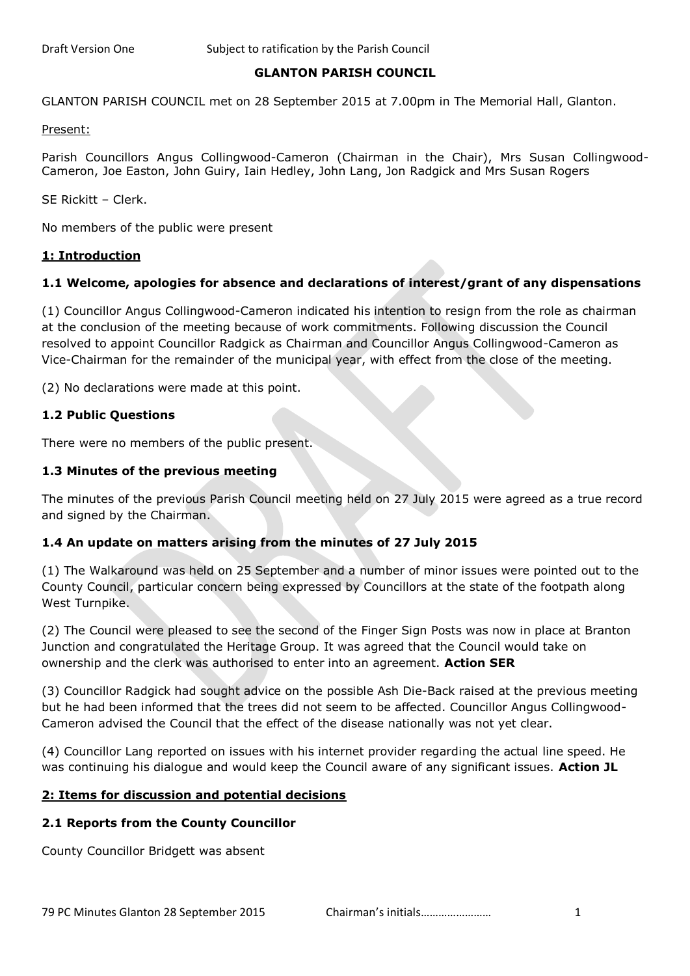## **GLANTON PARISH COUNCIL**

GLANTON PARISH COUNCIL met on 28 September 2015 at 7.00pm in The Memorial Hall, Glanton.

Present:

Parish Councillors Angus Collingwood-Cameron (Chairman in the Chair), Mrs Susan Collingwood-Cameron, Joe Easton, John Guiry, Iain Hedley, John Lang, Jon Radgick and Mrs Susan Rogers

SE Rickitt – Clerk.

No members of the public were present

#### **1: Introduction**

## **1.1 Welcome, apologies for absence and declarations of interest/grant of any dispensations**

(1) Councillor Angus Collingwood-Cameron indicated his intention to resign from the role as chairman at the conclusion of the meeting because of work commitments. Following discussion the Council resolved to appoint Councillor Radgick as Chairman and Councillor Angus Collingwood-Cameron as Vice-Chairman for the remainder of the municipal year, with effect from the close of the meeting.

(2) No declarations were made at this point.

## **1.2 Public Questions**

There were no members of the public present.

## **1.3 Minutes of the previous meeting**

The minutes of the previous Parish Council meeting held on 27 July 2015 were agreed as a true record and signed by the Chairman.

## **1.4 An update on matters arising from the minutes of 27 July 2015**

(1) The Walkaround was held on 25 September and a number of minor issues were pointed out to the County Council, particular concern being expressed by Councillors at the state of the footpath along West Turnpike.

(2) The Council were pleased to see the second of the Finger Sign Posts was now in place at Branton Junction and congratulated the Heritage Group. It was agreed that the Council would take on ownership and the clerk was authorised to enter into an agreement. **Action SER**

(3) Councillor Radgick had sought advice on the possible Ash Die-Back raised at the previous meeting but he had been informed that the trees did not seem to be affected. Councillor Angus Collingwood-Cameron advised the Council that the effect of the disease nationally was not yet clear.

(4) Councillor Lang reported on issues with his internet provider regarding the actual line speed. He was continuing his dialogue and would keep the Council aware of any significant issues. **Action JL**

## **2: Items for discussion and potential decisions**

## **2.1 Reports from the County Councillor**

County Councillor Bridgett was absent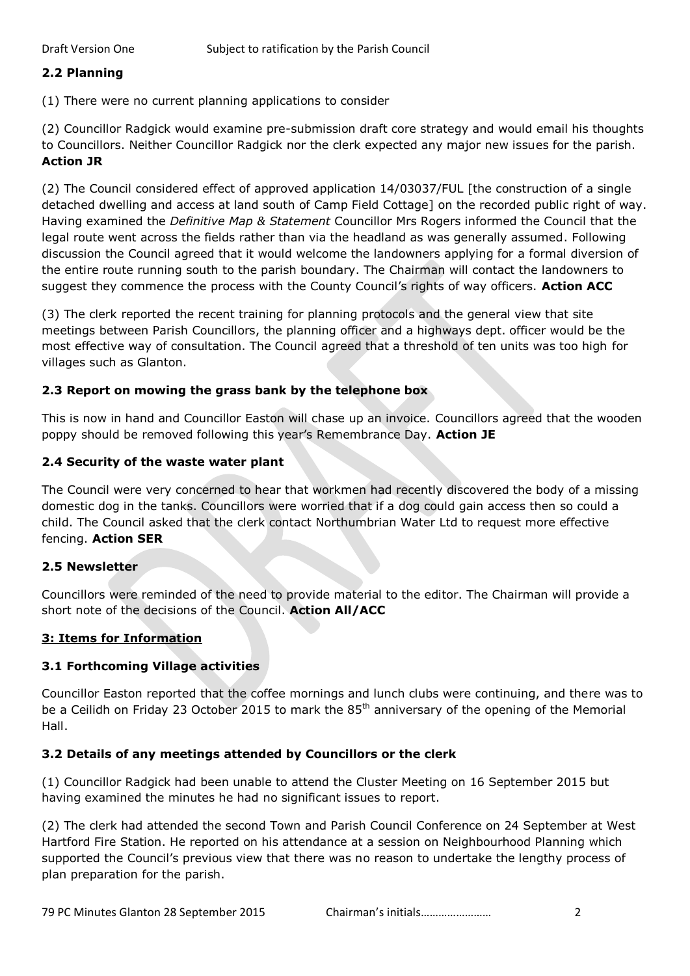## **2.2 Planning**

(1) There were no current planning applications to consider

(2) Councillor Radgick would examine pre-submission draft core strategy and would email his thoughts to Councillors. Neither Councillor Radgick nor the clerk expected any major new issues for the parish. **Action JR**

(2) The Council considered effect of approved application 14/03037/FUL [the construction of a single detached dwelling and access at land south of Camp Field Cottage] on the recorded public right of way. Having examined the *Definitive Map & Statement* Councillor Mrs Rogers informed the Council that the legal route went across the fields rather than via the headland as was generally assumed. Following discussion the Council agreed that it would welcome the landowners applying for a formal diversion of the entire route running south to the parish boundary. The Chairman will contact the landowners to suggest they commence the process with the County Council's rights of way officers. **Action ACC**

(3) The clerk reported the recent training for planning protocols and the general view that site meetings between Parish Councillors, the planning officer and a highways dept. officer would be the most effective way of consultation. The Council agreed that a threshold of ten units was too high for villages such as Glanton.

# **2.3 Report on mowing the grass bank by the telephone box**

This is now in hand and Councillor Easton will chase up an invoice. Councillors agreed that the wooden poppy should be removed following this year's Remembrance Day. **Action JE**

# **2.4 Security of the waste water plant**

The Council were very concerned to hear that workmen had recently discovered the body of a missing domestic dog in the tanks. Councillors were worried that if a dog could gain access then so could a child. The Council asked that the clerk contact Northumbrian Water Ltd to request more effective fencing. **Action SER**

# **2.5 Newsletter**

Councillors were reminded of the need to provide material to the editor. The Chairman will provide a short note of the decisions of the Council. **Action All/ACC**

# **3: Items for Information**

# **3.1 Forthcoming Village activities**

Councillor Easton reported that the coffee mornings and lunch clubs were continuing, and there was to be a Ceilidh on Friday 23 October 2015 to mark the 85<sup>th</sup> anniversary of the opening of the Memorial Hall.

# **3.2 Details of any meetings attended by Councillors or the clerk**

(1) Councillor Radgick had been unable to attend the Cluster Meeting on 16 September 2015 but having examined the minutes he had no significant issues to report.

(2) The clerk had attended the second Town and Parish Council Conference on 24 September at West Hartford Fire Station. He reported on his attendance at a session on Neighbourhood Planning which supported the Council's previous view that there was no reason to undertake the lengthy process of plan preparation for the parish.